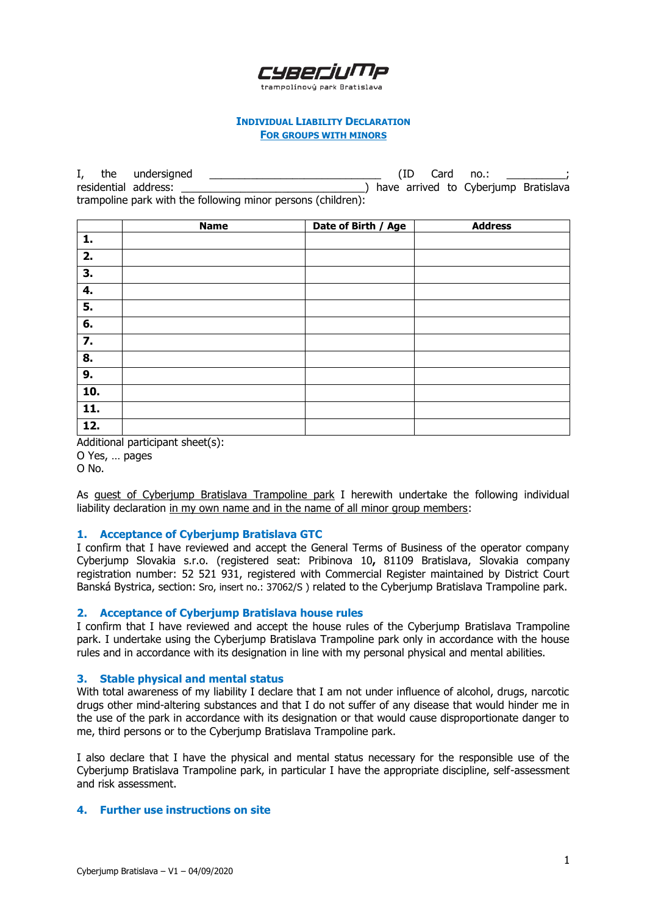# CYRECIL

trampolínový park Bratislava

#### **INDIVIDUAL LIABILITY DECLARATION FOR GROUPS WITH MINORS**

I, the undersigned \_\_\_\_\_\_\_\_\_\_\_\_\_\_\_\_\_\_\_\_\_\_\_\_\_\_\_\_\_ (ID Card no.: \_\_\_\_\_\_\_\_\_\_; residential address:  $\qquad \qquad$  ) have arrived to Cyberjump Bratislava trampoline park with the following minor persons (children):

|                   | <b>Name</b> | Date of Birth / Age | <b>Address</b> |
|-------------------|-------------|---------------------|----------------|
| 1.                |             |                     |                |
| 2.                |             |                     |                |
| 3.                |             |                     |                |
| 4.                |             |                     |                |
| 5.                |             |                     |                |
| 6.                |             |                     |                |
| 7.                |             |                     |                |
| 8.                |             |                     |                |
| 9.                |             |                     |                |
| 10.               |             |                     |                |
| $\overline{11}$ . |             |                     |                |
| 12.               |             |                     |                |

Additional participant sheet(s): O Yes, … pages O No.

As guest of Cyberjump Bratislava Trampoline park I herewith undertake the following individual liability declaration in my own name and in the name of all minor group members:

## **1. Acceptance of Cyberjump Bratislava GTC**

I confirm that I have reviewed and accept the General Terms of Business of the operator company Cyberjump Slovakia s.r.o. (registered seat: Pribinova 10**,** 81109 Bratislava, Slovakia company registration number: 52 521 931, registered with Commercial Register maintained by District Court Banská Bystrica, section: Sro, insert no.: 37062/S ) related to the Cyberjump Bratislava Trampoline park.

#### **2. Acceptance of Cyberjump Bratislava house rules**

I confirm that I have reviewed and accept the house rules of the Cyberjump Bratislava Trampoline park. I undertake using the Cyberjump Bratislava Trampoline park only in accordance with the house rules and in accordance with its designation in line with my personal physical and mental abilities.

#### **3. Stable physical and mental status**

With total awareness of my liability I declare that I am not under influence of alcohol, drugs, narcotic drugs other mind-altering substances and that I do not suffer of any disease that would hinder me in the use of the park in accordance with its designation or that would cause disproportionate danger to me, third persons or to the Cyberjump Bratislava Trampoline park.

I also declare that I have the physical and mental status necessary for the responsible use of the Cyberjump Bratislava Trampoline park, in particular I have the appropriate discipline, self-assessment and risk assessment.

## **4. Further use instructions on site**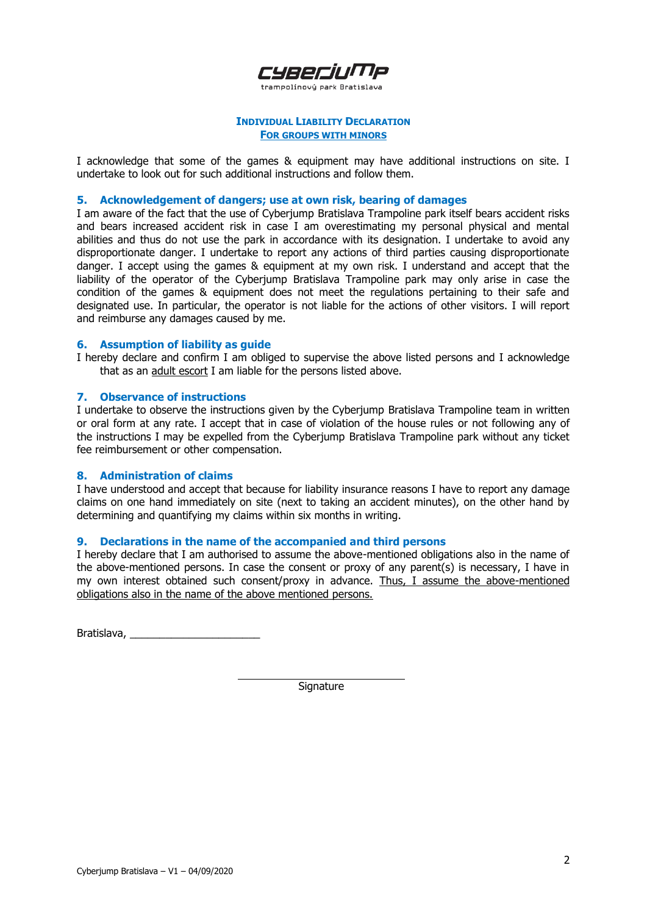

trampolínový park Bratislava

#### **INDIVIDUAL LIABILITY DECLARATION FOR GROUPS WITH MINORS**

I acknowledge that some of the games & equipment may have additional instructions on site. I undertake to look out for such additional instructions and follow them.

#### **5. Acknowledgement of dangers; use at own risk, bearing of damages**

I am aware of the fact that the use of Cyberjump Bratislava Trampoline park itself bears accident risks and bears increased accident risk in case I am overestimating my personal physical and mental abilities and thus do not use the park in accordance with its designation. I undertake to avoid any disproportionate danger. I undertake to report any actions of third parties causing disproportionate danger. I accept using the games & equipment at my own risk. I understand and accept that the liability of the operator of the Cyberjump Bratislava Trampoline park may only arise in case the condition of the games & equipment does not meet the regulations pertaining to their safe and designated use. In particular, the operator is not liable for the actions of other visitors. I will report and reimburse any damages caused by me.

#### **6. Assumption of liability as guide**

I hereby declare and confirm I am obliged to supervise the above listed persons and I acknowledge that as an adult escort I am liable for the persons listed above.

## **7. Observance of instructions**

I undertake to observe the instructions given by the Cyberjump Bratislava Trampoline team in written or oral form at any rate. I accept that in case of violation of the house rules or not following any of the instructions I may be expelled from the Cyberjump Bratislava Trampoline park without any ticket fee reimbursement or other compensation.

#### **8. Administration of claims**

I have understood and accept that because for liability insurance reasons I have to report any damage claims on one hand immediately on site (next to taking an accident minutes), on the other hand by determining and quantifying my claims within six months in writing.

## **9. Declarations in the name of the accompanied and third persons**

I hereby declare that I am authorised to assume the above-mentioned obligations also in the name of the above-mentioned persons. In case the consent or proxy of any parent(s) is necessary, I have in my own interest obtained such consent/proxy in advance. Thus, I assume the above-mentioned obligations also in the name of the above mentioned persons.

Bratislava, \_\_\_\_\_\_\_\_\_\_\_\_\_\_\_\_\_\_\_\_\_\_

Signature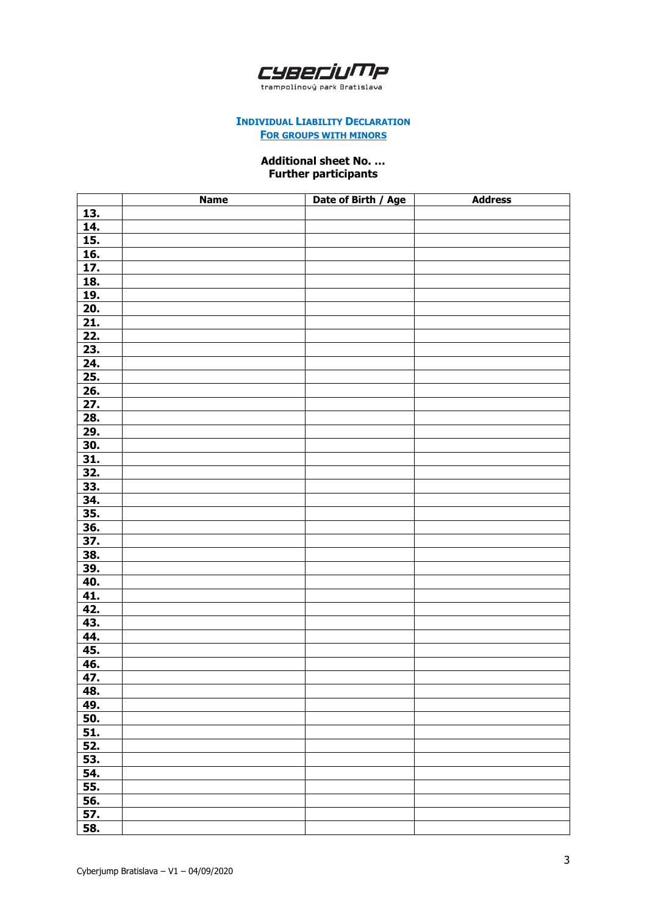

trampolínový park Bratislava

## **INDIVIDUAL LIABILITY DECLARATION FOR GROUPS WITH MINORS**

# **Additional sheet No. … Further participants**

|                   | <b>Name</b> | Date of Birth / Age | <b>Address</b> |
|-------------------|-------------|---------------------|----------------|
| 13.               |             |                     |                |
| 14.               |             |                     |                |
| <u>15.</u>        |             |                     |                |
|                   |             |                     |                |
| $\frac{16.}{17.}$ |             |                     |                |
| <b>18.</b>        |             |                     |                |
| 19.               |             |                     |                |
| 20.               |             |                     |                |
| $\overline{21}$ . |             |                     |                |
| 22.               |             |                     |                |
| 23.               |             |                     |                |
| 24.               |             |                     |                |
| <u>25.</u>        |             |                     |                |
| 26.               |             |                     |                |
| 27.               |             |                     |                |
| 28.               |             |                     |                |
| 29.               |             |                     |                |
| 30.               |             |                     |                |
| <u>31.</u>        |             |                     |                |
| 32.               |             |                     |                |
| 33.               |             |                     |                |
| 34.               |             |                     |                |
| 35.               |             |                     |                |
| <b>36.</b>        |             |                     |                |
| 37.               |             |                     |                |
| 38.               |             |                     |                |
| 39.               |             |                     |                |
| 40.               |             |                     |                |
| 41.               |             |                     |                |
| 42.               |             |                     |                |
| 43.               |             |                     |                |
| 44.               |             |                     |                |
| 45.               |             |                     |                |
| <u>46.</u>        |             |                     |                |
| 47.               |             |                     |                |
| 48.               |             |                     |                |
| 49.               |             |                     |                |
| 50.               |             |                     |                |
| 51.               |             |                     |                |
| 52.               |             |                     |                |
| 53.               |             |                     |                |
| 54.               |             |                     |                |
| 55.               |             |                     |                |
| 56.               |             |                     |                |
| 57.               |             |                     |                |
| 58.               |             |                     |                |
|                   |             |                     |                |